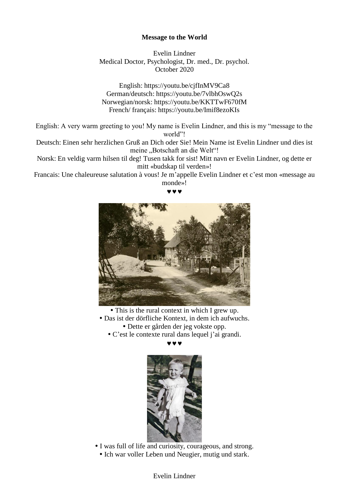## **Message to the World**

Evelin Lindner Medical Doctor, Psychologist, Dr. med., Dr. psychol. October 2020

English: https://youtu.be/cjfInMV9Ca8 German/deutsch: https://youtu.be/7vlbhOswQ2s Norwegian/norsk: https://youtu.be/KKTTwF670fM French/ français: https://youtu.be/Imif8ezoKIs

English: A very warm greeting to you! My name is Evelin Lindner, and this is my "message to the world"!

Deutsch: Einen sehr herzlichen Gruß an Dich oder Sie! Mein Name ist Evelin Lindner und dies ist meine "Botschaft an die Welt"!

Norsk: En veldig varm hilsen til deg! Tusen takk for sist! Mitt navn er Evelin Lindner, og dette er mitt «budskap til verden»!

Francais: Une chaleureuse salutation à vous! Je m'appelle Evelin Lindner et c'est mon «message au monde»!

---



This is the rural context in which I grew up.

Das ist der dörfliche Kontext, in dem ich aufwuchs.

- Dette er gården der jeg vokste opp.
- C'est le contexte rural dans lequel j'ai grandi.

 $\bm{v}$   $\bm{v}$ 



 I was full of life and curiosity, courageous, and strong. • Ich war voller Leben und Neugier, mutig und stark.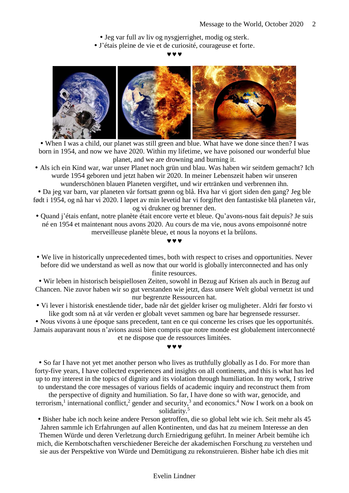- Jeg var full av liv og nysgjerrighet, modig og sterk.
- J'étais pleine de vie et de curiosité, courageuse et forte.

 $\bm{v}$   $\bm{v}$ 



 When I was a child, our planet was still green and blue. What have we done since then? I was born in 1954, and now we have 2020. Within my lifetime, we have poisoned our wonderful blue planet, and we are drowning and burning it.

 Als ich ein Kind war, war unser Planet noch grün und blau. Was haben wir seitdem gemacht? Ich wurde 1954 geboren und jetzt haben wir 2020. In meiner Lebenszeit haben wir unseren wunderschönen blauen Planeten vergiftet, und wir ertränken und verbrennen ihn.

 Da jeg var barn, var planeten vår fortsatt grønn og blå. Hva har vi gjort siden den gang? Jeg ble født i 1954, og nå har vi 2020. I løpet av min levetid har vi forgiftet den fantastiske blå planeten vår, og vi drukner og brenner den.

 Quand j'étais enfant, notre planète était encore verte et bleue. Qu'avons-nous fait depuis? Je suis né en 1954 et maintenant nous avons 2020. Au cours de ma vie, nous avons empoisonné notre merveilleuse planète bleue, et nous la noyons et la brûlons.

 $\bm{v}$   $\bm{v}$ 

# We live in historically unprecedented times, both with respect to crises and opportunities. Never before did we understand as well as now that our world is globally interconnected and has only finite resources.

 Wir leben in historisch beispiellosen Zeiten, sowohl in Bezug auf Krisen als auch in Bezug auf Chancen. Nie zuvor haben wir so gut verstanden wie jetzt, dass unsere Welt global vernetzt ist und nur begrenzte Ressourcen hat.

 Vi lever i historisk enestående tider, bade når det gjelder kriser og muligheter. Aldri før forsto vi like godt som nå at vår verden er globalt vevet sammen og bare har begrensede ressurser.

 Nous vivons à une époque sans precedent, tant en ce qui concerne les crises que les opportunités. Jamais auparavant nous n'avions aussi bien compris que notre monde est globalement interconnecté et ne dispose que de ressources limitées.

### $\bm{v}$   $\bm{v}$

• So far I have not yet met another person who lives as truthfully globally as I do. For more than forty-five years, I have collected experiences and insights on all continents, and this is what has led up to my interest in the topics of dignity and its violation through humiliation. In my work, I strive to understand the core messages of various fields of academic inquiry and reconstruct them from

the perspective of dignity and humiliation. So far, I have done so with war, genocide, and terrorism,<sup>1</sup> international conflict,<sup>2</sup> gender and security,<sup>3</sup> and economics.<sup>4</sup> Now I work on a book on solidarity.<sup>5</sup>

 Bisher habe ich noch keine andere Person getroffen, die so global lebt wie ich. Seit mehr als 45 Jahren sammle ich Erfahrungen auf allen Kontinenten, und das hat zu meinem Interesse an den Themen Würde und deren Verletzung durch Erniedrigung geführt. In meiner Arbeit bemühe ich mich, die Kernbotschaften verschiedener Bereiche der akademischen Forschung zu verstehen und sie aus der Perspektive von Würde und Demütigung zu rekonstruieren. Bisher habe ich dies mit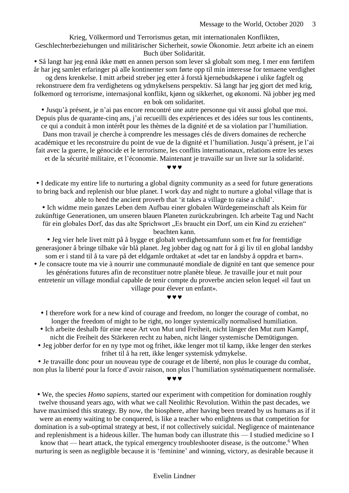Krieg, Völkermord und Terrorismus getan, mit internationalen Konflikten, Geschlechterbeziehungen und militärischer Sicherheit, sowie Ökonomie. Jetzt arbeite ich an einem Buch über Solidarität.

 Så langt har jeg ennå ikke møtt en annen person som lever så globalt som meg. I mer enn førtifem år har jeg samlet erfaringer på alle kontinenter som førte opp til min interesse for temaene verdighet

og dens krenkelse. I mitt arbeid streber jeg etter å forstå kjernebudskapene i ulike fagfelt og rekonstruere dem fra verdighetens og ydmykelsens perspektiv. Så langt har jeg gjort det med krig, folkemord og terrorisme, internasjonal konflikt, kjønn og sikkerhet, og økonomi. Nå jobber jeg med en bok om solidaritet.

 Jusqu'à présent, je n'ai pas encore rencontré une autre personne qui vit aussi global que moi. Depuis plus de quarante-cinq ans, j'ai recueilli des expériences et des idées sur tous les continents, ce qui a conduit à mon intérêt pour les thèmes de la dignité et de sa violation par l'humiliation. Dans mon travail je cherche à comprendre les messages clés de divers domaines de recherche

académique et les reconstruire du point de vue de la dignité et l'humiliation. Jusqu'à présent, je l'ai fait avec la guerre, le génocide et le terrorisme, les conflits internationaux, relations entre les sexes

et de la sécurité militaire, et l'économie. Maintenant je travaille sur un livre sur la solidarité.

 $v v v$ 

 I dedicate my entire life to nurturing a global dignity community as a seed for future generations to bring back and replenish our blue planet. I work day and night to nurture a global village that is able to heed the ancient proverb that 'it takes a village to raise a child'.

 Ich widme mein ganzes Leben dem Aufbau einer globalen Würdegemeinschaft als Keim für zukünftige Generationen, um unseren blauen Planeten zurückzubringen. Ich arbeite Tag und Nacht für ein globales Dorf, das das alte Sprichwort "Es braucht ein Dorf, um ein Kind zu erziehen" beachten kann.

 Jeg vier hele livet mitt på å bygge et globalt verdighetssamfunn som et frø for fremtidige generasjoner å bringe tilbake vår blå planet. Jeg jobber dag og natt for å gi liv til en global landsby som er i stand til å ta vare på det eldgamle ordtaket at «det tar en landsby å oppdra et barn».

 Je consacre toute ma vie à nourrir une communauté mondiale de dignité en tant que semence pour les générations futures afin de reconstituer notre planète bleue. Je travaille jour et nuit pour entretenir un village mondial capable de tenir compte du proverbe ancien selon lequel «il faut un village pour élever un enfant».

#### www

- I therefore work for a new kind of courage and freedom, no longer the courage of combat, no longer the freedom of might to be right, no longer systemically normalised humiliation.
- Ich arbeite deshalb für eine neue Art von Mut und Freiheit, nicht länger den Mut zum Kampf, nicht die Freiheit des Stärkeren recht zu haben, nicht länger systemische Demütigungen.
- Jeg jobber derfor for en ny type mot og frihet, ikke lenger mot til kamp, ikke lenger den sterkes frihet til å ha rett, ikke lenger systemisk ydmykelse.

 Je travaille donc pour un nouveau type de courage et de liberté, non plus le courage du combat, non plus la liberté pour la force d'avoir raison, non plus l'humiliation systématiquement normalisée.

 $v v v$ 

 We, the species *Homo sapiens*, started our experiment with competition for domination roughly twelve thousand years ago, with what we call Neolithic Revolution. Within the past decades, we have maximised this strategy. By now, the biosphere, after having been treated by us humans as if it

were an enemy waiting to be conquered, is like a teacher who enlightens us that competition for domination is a sub-optimal strategy at best, if not collectively suicidal. Negligence of maintenance and replenishment is a hideous killer. The human body can illustrate this — I studied medicine so I

know that — heart attack, the typical emergency troubleshooter disease, is the outcome.<sup>6</sup> When nurturing is seen as negligible because it is 'feminine' and winning, victory, as desirable because it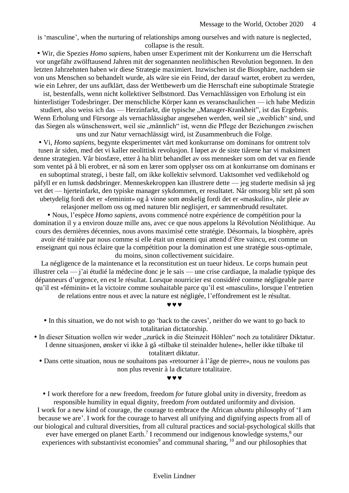is 'masculine', when the nurturing of relationships among ourselves and with nature is neglected, collapse is the result.

 Wir, die Spezies *Homo sapiens*, haben unser Experiment mit der Konkurrenz um die Herrschaft vor ungefähr zwölftausend Jahren mit der sogenannten neolithischen Revolution begonnen. In den letzten Jahrzehnten haben wir diese Strategie maximiert. Inzwischen ist die Biosphäre, nachdem sie von uns Menschen so behandelt wurde, als wäre sie ein Feind, der darauf wartet, erobert zu werden, wie ein Lehrer, der uns aufklärt, dass der Wettbewerb um die Herrschaft eine suboptimale Strategie

ist, bestenfalls, wenn nicht kollektiver Selbstmord. Das Vernachlässigen von Erholung ist ein hinterlistiger Todesbringer. Der menschliche Körper kann es veranschaulichen — ich habe Medizin

studiert, also weiss ich das — Herzinfarkt, die typische "Manager-Krankheit", ist das Ergebnis. Wenn Erholung und Fürsorge als vernachlässigbar angesehen werden, weil sie "weiblich" sind, und das Siegen als wünschenswert, weil sie "männlich" ist, wenn die Pflege der Beziehungen zwischen uns und zur Natur vernachlässigt wird, ist Zusammenbruch die Folge.

 Vi, *Homo sapiens*, begynte eksperimentet vårt med konkurranse om dominans for omtrent tolv tusen år siden, med det vi kaller neolittisk revolusjon. I løpet av de siste tiårene har vi maksimert denne strategien. Vår biosfære, etter å ha blitt behandlet av oss mennesker som om det var en fiende som ventet på å bli erobret, er nå som en lærer som opplyser oss om at konkurranse om dominans er en suboptimal strategi, i beste fall, om ikke kollektiv selvmord. Uaktsomhet ved vedlikehold og

påfyll er en lumsk dødsbringer. Menneskekroppen kan illustrere dette — jeg studerte medisin så jeg vet det — hjerteinfarkt, den typiske manager sykdommen, er resultatet. Når omsorg blir sett på som ubetydelig fordi det er «feminint» og å vinne som ønskelig fordi det er «maskulin», når pleie av

relasjoner mellom oss og med naturen blir neglisjert, er sammenbrudd resultatet. Nous, l'espèce *Homo sapiens*, avons commencé notre expérience de compétition pour la domination il y a environ douze mille ans, avec ce que nous appelons la Révolution Néolithique. Au cours des dernières décennies, nous avons maximisé cette stratégie. Désormais, la biosphère, après avoir été traitée par nous comme si elle était un ennemi qui attend d'être vaincu, est comme un enseignant qui nous éclaire que la compétition pour la domination est une stratégie sous-optimale, du moins, sinon collectivement suicidaire.

La négligence de la maintenance et la reconstitution est un tueur hideux. Le corps humain peut illustrer cela — j'ai étudié la médecine donc je le sais — une crise cardiaque, la maladie typique des dépanneurs d'urgence, en est le résultat. Lorsque nourricier est considéré comme négligeable parce qu'il est «féminin» et la victoire comme souhaitable parce qu'il est «masculin», lorsque l'entretien de relations entre nous et avec la nature est négligée, l'effondrement est le résultat.

 $\bm{v}$   $\bm{v}$ 

- In this situation, we do not wish to go 'back to the caves', neither do we want to go back to totalitarian dictatorship.
- In dieser Situation wollen wir weder "zurück in die Steinzeit Höhlen" noch zu totalitärer Diktatur. I denne situasjonen, ønsker vi ikke å gå «tilbake til steinalder hulene», heller ikke tilbake til totalitært diktatur.
	- Dans cette situation, nous ne souhaitons pas «retourner à l'âge de pierre», nous ne voulons pas non plus revenir à la dictature totalitaire.

#### $v v v$

 I work therefore for a new freedom, freedom *for* future global unity in diversity, freedom as responsible humility in equal dignity, freedom *from* outdated uniformity and division. I work for a new kind of courage, the courage to embrace the African *ubuntu* philosophy of 'I am because we are'. I work for the courage to harvest all unifying and dignifying aspects from all of our biological and cultural diversities, from all cultural practices and social-psychological skills that ever have emerged on planet Earth.<sup>7</sup> I recommend our indigenous knowledge systems,<sup>8</sup> our experiences with substantivist economies<sup>9</sup> and communal sharing,  $10$  and our philosophies that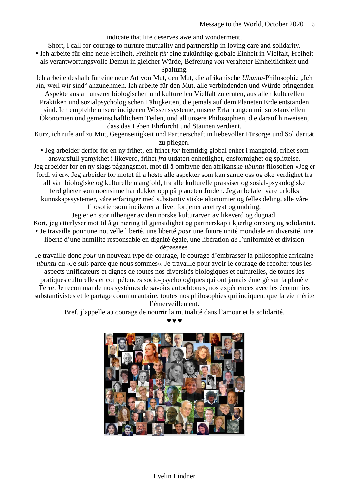indicate that life deserves awe and wonderment.

Short, I call for courage to nurture mutuality and partnership in loving care and solidarity. Ich arbeite für eine neue Freiheit, Freiheit *für* eine zukünftige globale Einheit in Vielfalt, Freiheit

als verantwortungsvolle Demut in gleicher Würde, Befreiung *von* veralteter Einheitlichkeit und Spaltung.

Ich arbeite deshalb für eine neue Art von Mut, den Mut, die afrikanische *Ubuntu*-Philosophie "Ich bin, weil wir sind" anzunehmen. Ich arbeite für den Mut, alle verbindenden und Würde bringenden Aspekte aus all unserer biologischen und kulturellen Vielfalt zu ernten, aus allen kulturellen Praktiken und sozialpsychologischen Fähigkeiten, die jemals auf dem Planeten Erde entstanden sind. Ich empfehle unsere indigenen Wissenssysteme, unsere Erfahrungen mit substanziellen Ökonomien und gemeinschaftlichem Teilen, und all unsere Philosophien, die darauf hinweisen, dass das Leben Ehrfurcht und Staunen verdient.

Kurz, ich rufe auf zu Mut, Gegenseitigkeit und Partnerschaft in liebevoller Fürsorge und Solidarität zu pflegen.

 Jeg arbeider derfor for en ny frihet, en frihet *for* fremtidig global enhet i mangfold, frihet som ansvarsfull ydmykhet i likeverd, frihet *fra* utdatert enhetlighet, ensformighet og splittelse. Jeg arbeider for en ny slags pågangsmot, mot til å omfavne den afrikanske *ubuntu*-filosofien «Jeg er fordi vi er». Jeg arbeider for motet til å høste alle aspekter som kan samle oss og øke verdighet fra all vårt biologiske og kulturelle mangfold, fra alle kulturelle praksiser og sosial-psykologiske ferdigheter som noensinne har dukket opp på planeten Jorden. Jeg anbefaler våre urfolks kunnskapssystemer, våre erfaringer med substantivistiske økonomier og felles deling, alle våre filosofier som indikerer at livet fortjener ærefrykt og undring.

Jeg er en stor tilhenger av den norske kulturarven av likeverd og dugnad. Kort, jeg etterlyser mot til å gi næring til gjensidighet og partnerskap i kjærlig omsorg og solidaritet. Je travaille pour une nouvelle liberté, une liberté *pour* une future unité mondiale en diversité, une liberté d'une humilité responsable en dignité égale, une libération *de* l'uniformité et division

dépassées.

Je travaille donc *pour* un nouveau type de courage, le courage d'embrasser la philosophie africaine *ubuntu* du «Je suis parce que nous sommes». Je travaille pour avoir le courage de récolter tous les aspects unificateurs et dignes de toutes nos diversités biologiques et culturelles, de toutes les pratiques culturelles et compétences socio-psychologiques qui ont jamais émergé sur la planète Terre. Je recommande nos systèmes de savoirs autochtones, nos expériences avec les économies substantivistes et le partage communautaire, toutes nos philosophies qui indiquent que la vie mérite l'émerveillement.

Bref, j'appelle au courage de nourrir la mutualité dans l'amour et la solidarité.



 $\bm{v}$   $\bm{v}$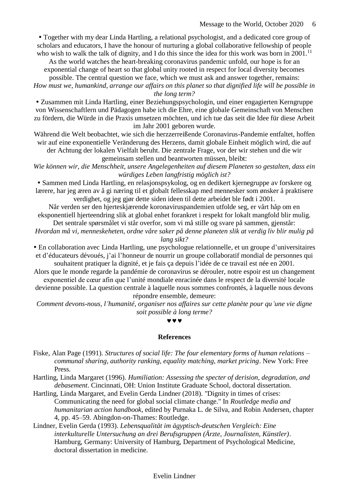Together with my dear Linda Hartling, a relational psychologist, and a dedicated core group of scholars and educators, I have the honour of nurturing a global collaborative fellowship of people who wish to walk the talk of dignity, and I do this since the idea for this work was born in  $2001$ .<sup>11</sup>

As the world watches the heart-breaking coronavirus pandemic unfold, our hope is for an exponential change of heart so that global unity rooted in respect for local diversity becomes

possible. The central question we face, which we must ask and answer together, remains:

*How must we, humankind, arrange our affairs on this planet so that dignified life will be possible in the long term?*

 Zusammen mit Linda Hartling, einer Beziehungspsychologin, und einer engagierten Kerngruppe von Wissenschaftlern und Pädagogen habe ich die Ehre, eine globale Gemeinschaft von Menschen zu fördern, die Würde in die Praxis umsetzen möchten, und ich tue das seit die Idee für diese Arbeit im Jahr 2001 geboren wurde.

Während die Welt beobachtet, wie sich die herzzerreißende Coronavirus-Pandemie entfaltet, hoffen wir auf eine exponentielle Veränderung des Herzens, damit globale Einheit möglich wird, die auf der Achtung der lokalen Vielfalt beruht. Die zentrale Frage, vor der wir stehen und die wir

gemeinsam stellen und beantworten müssen, bleibt:

*Wie können wir, die Menschheit, unsere Angelegenheiten auf diesem Planeten so gestalten, dass ein würdiges Leben langfristig möglich ist?*

 Sammen med Linda Hartling, en relasjonspsykolog, og en dedikert kjernegruppe av forskere og lærere, har jeg æren av å gi næring til et globalt fellesskap med mennesker som ønsker å praktisere verdighet, og jeg gjør dette siden ideen til dette arbeidet ble født i 2001.

Når verden ser den hjerteskjærende koronaviruspandemien utfolde seg, er vårt håp om en eksponentiell hjerteendring slik at global enhet forankret i respekt for lokalt mangfold blir mulig.

Det sentrale spørsmålet vi står overfor, som vi må stille og svare på sammen, gjenstår: *Hvordan må vi, menneskeheten, ordne våre saker på denne planeten slik at verdig liv blir mulig på* 

*lang sikt?*

 En collaboration avec Linda Hartling, une psychologue relationnelle, et un groupe d'universitaires et d'éducateurs dévoués, j'ai l'honneur de nourrir un groupe collaboratif mondial de personnes qui souhaitent pratiquer la dignité, et je fais ça depuis l'idée de ce travail est née en 2001.

Alors que le monde regarde la pandémie de coronavirus se dérouler, notre espoir est un changement exponentiel de cœur afin que l'unité mondiale enracinée dans le respect de la diversité locale

devienne possible. La question centrale à laquelle nous sommes confrontés, à laquelle nous devons répondre ensemble, demeure:

*Comment devons-nous, l'humanité, organiser nos affaires sur cette planète pour qu'une vie digne soit possible à long terme?*

### $\boldsymbol{u}$   $\boldsymbol{u}$

### **References**

Fiske, Alan Page (1991). *Structures of social life: The four elementary forms of human relations – communal sharing, authority ranking, equality matching, market pricing*. New York: Free Press.

Hartling, Linda Margaret (1996). *Humiliation: Assessing the specter of derision, degradation, and debasement*. Cincinnati, OH: Union Institute Graduate School, doctoral dissertation.

Hartling, Linda Margaret, and Evelin Gerda Lindner (2018). "Dignity in times of crises: Communicating the need for global social climate change." In *Routledge media and humanitarian action handbook*, edited by Purnaka L. de Silva, and Robin Andersen, chapter 4, pp. 45–59. Abingdon-on-Thames: Routledge.

Lindner, Evelin Gerda (1993). *Lebensqualität im ägyptisch-deutschen Vergleich: Eine interkulturelle Untersuchung an drei Berufsgruppen (Ärzte, Journalisten, Künstler)*. Hamburg, Germany: University of Hamburg, Department of Psychological Medicine, doctoral dissertation in medicine.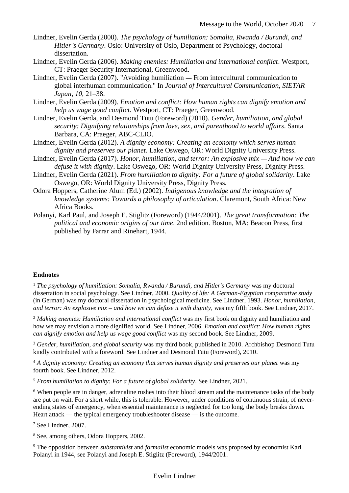- Lindner, Evelin Gerda (2000). *The psychology of humiliation: Somalia, Rwanda / Burundi, and Hitler's Germany*. Oslo: University of Oslo, Department of Psychology, doctoral dissertation.
- Lindner, Evelin Gerda (2006). *Making enemies: Humiliation and international conflict*. Westport, CT: Praeger Security International, Greenwood.
- Lindner, Evelin Gerda (2007). "Avoiding humiliation From intercultural communication to global interhuman communication." In *Journal of Intercultural Communication, SIETAR Japan*, *10*, 21–38.
- Lindner, Evelin Gerda (2009). *Emotion and conflict: How human rights can dignify emotion and help us wage good conflict*. Westport, CT: Praeger, Greenwood.
- Lindner, Evelin Gerda, and Desmond Tutu (Foreword) (2010). *Gender, humiliation, and global security: Dignifying relationships from love, sex, and parenthood to world affairs*. Santa Barbara, CA: Praeger, ABC-CLIO.
- Lindner, Evelin Gerda (2012). *A dignity economy: Creating an economy which serves human dignity and preserves our planet*. Lake Oswego, OR: World Dignity University Press.
- Lindner, Evelin Gerda (2017). *Honor, humiliation, and terror: An explosive mix And how we can defuse it with dignity*. Lake Oswego, OR: World Dignity University Press, Dignity Press.
- Lindner, Evelin Gerda (2021). *From humiliation to dignity: For a future of global solidarity*. Lake Oswego, OR: World Dignity University Press, Dignity Press.
- Odora Hoppers, Catherine Alum (Ed.) (2002). *Indigenous knowledge and the integration of knowledge systems: Towards a philosophy of articulation*. Claremont, South Africa: New Africa Books.
- Polanyi, Karl Paul, and Joseph E. Stiglitz (Foreword) (1944/2001). *The great transformation: The political and economic origins of our time*. 2nd edition. Boston, MA: Beacon Press, first published by Farrar and Rinehart, 1944.

### **Endnotes**

 $\overline{a}$ 

<sup>1</sup> *The psychology of humiliation: Somalia, Rwanda / Burundi, and Hitler's Germany* was my doctoral dissertation in social psychology. See Lindner, 2000. *Quality of life: A German-Egyptian comparative study* (in German) was my doctoral dissertation in psychological medicine. See Lindner, 1993. *Honor, humiliation, and terror: An explosive mix – and how we can defuse it with dignity*, was my fifth book. See Lindner, 2017.

<sup>2</sup> *Making enemies: Humiliation and international conflict* was my first book on dignity and humiliation and how we may envision a more dignified world. See Lindner, 2006. *Emotion and conflict: How human rights can dignify emotion and help us wage good conflict* was my second book. See Lindner, 2009.

<sup>3</sup> *Gender, humiliation, and global security* was my third book, published in 2010. Archbishop Desmond Tutu kindly contributed with a foreword. See Lindner and Desmond Tutu (Foreword), 2010.

<sup>4</sup> *A dignity economy: Creating an economy that serves human dignity and preserves our planet* was my fourth book. See Lindner, 2012.

<sup>5</sup> *From humiliation to dignity: For a future of global solidarity*. See Lindner, 2021.

<sup>6</sup> When people are in danger, adrenaline rushes into their blood stream and the maintenance tasks of the body are put on wait. For a short while, this is tolerable. However, under conditions of continuous strain, of neverending states of emergency, when essential maintenance is neglected for too long, the body breaks down. Heart attack — the typical emergency troubleshooter disease — is the outcome.

<sup>7</sup> See Lindner, 2007.

<sup>8</sup> See, among others, Odora Hoppers, 2002.

<sup>9</sup> The opposition between *substantivist* and *formalist* economic models was proposed by economist Karl Polanyi in 1944, see Polanyi and Joseph E. Stiglitz (Foreword), 1944/2001.